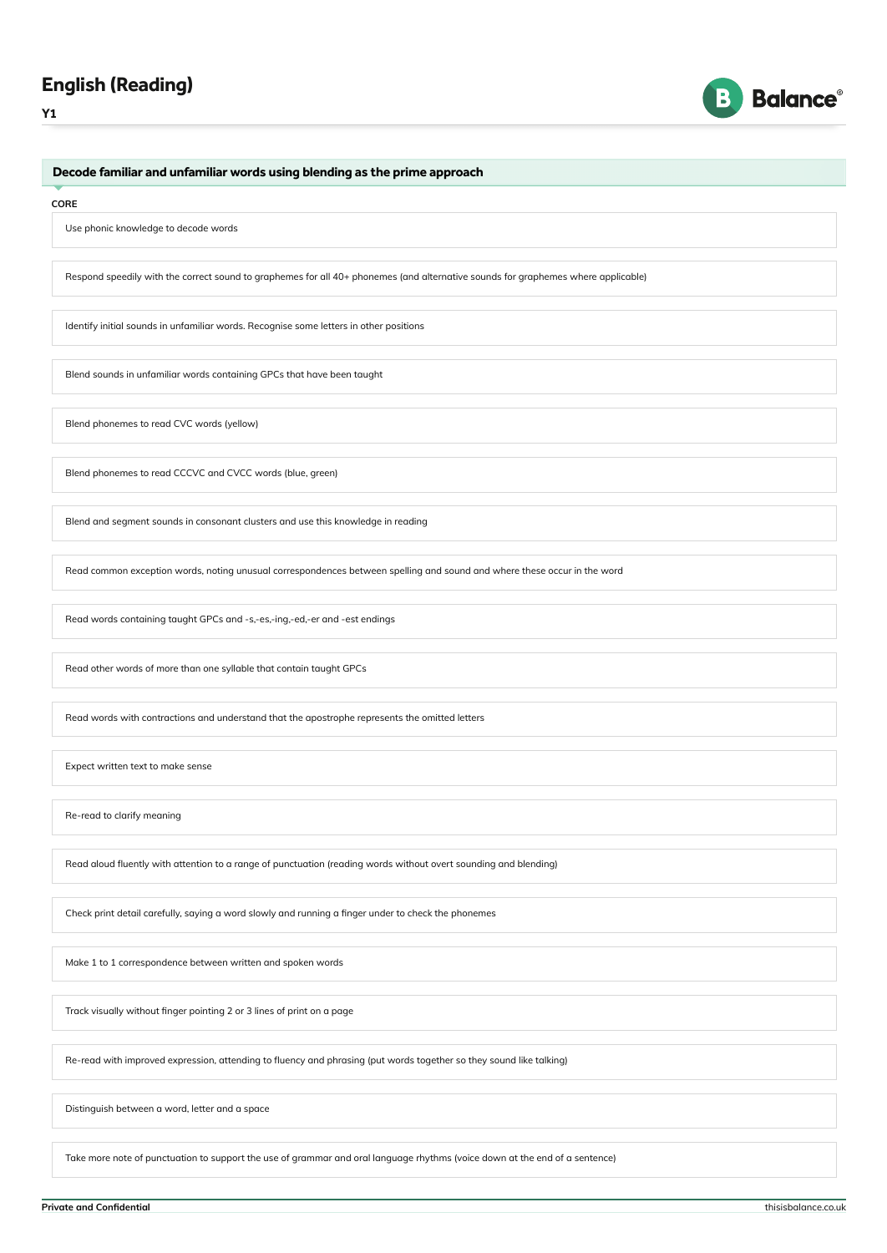



# Decode familiar and unfamiliar words using blending as the prime approach

#### **CORE**

Use phonic knowledge to decode words

Respond speedily with the correct sound to graphemes for all 40+ phonemes (and alternative sounds for graphemes where applicable)

Identify initial sounds in unfamiliar words. Recognise some letters in other positions

Blend sounds in unfamiliar words containing GPCs that have been taught

Blend phonemes to read CVC words (yellow)

Blend phonemes to read CCCVC and CVCC words (blue, green)

Blend and segment sounds in consonant clusters and use this knowledge in reading

Read common exception words, noting unusual correspondences between spelling and sound and where these occur in the word

Read words containing taught GPCs and -s,-es,-ing,-ed,-er and -est endings

Read other words of more than one syllable that contain taught GPCs

Read words with contractions and understand that the apostrophe represents the omitted letters

Expect written text to make sense

Re-read to clarify meaning

Read aloud fluently with attention to a range of punctuation (reading words without overt sounding and blending)

Check print detail carefully, saying a word slowly and running a finger under to check the phonemes

Make 1 to 1 correspondence between written and spoken words

Track visually without finger pointing 2 or 3 lines of print on a page

Re-read with improved expression, attending to fluency and phrasing (put words together so they sound like talking)

Distinguish between a word, letter and a space

Take more note of punctuation to support the use of grammar and oral language rhythms (voice down at the end of a sentence)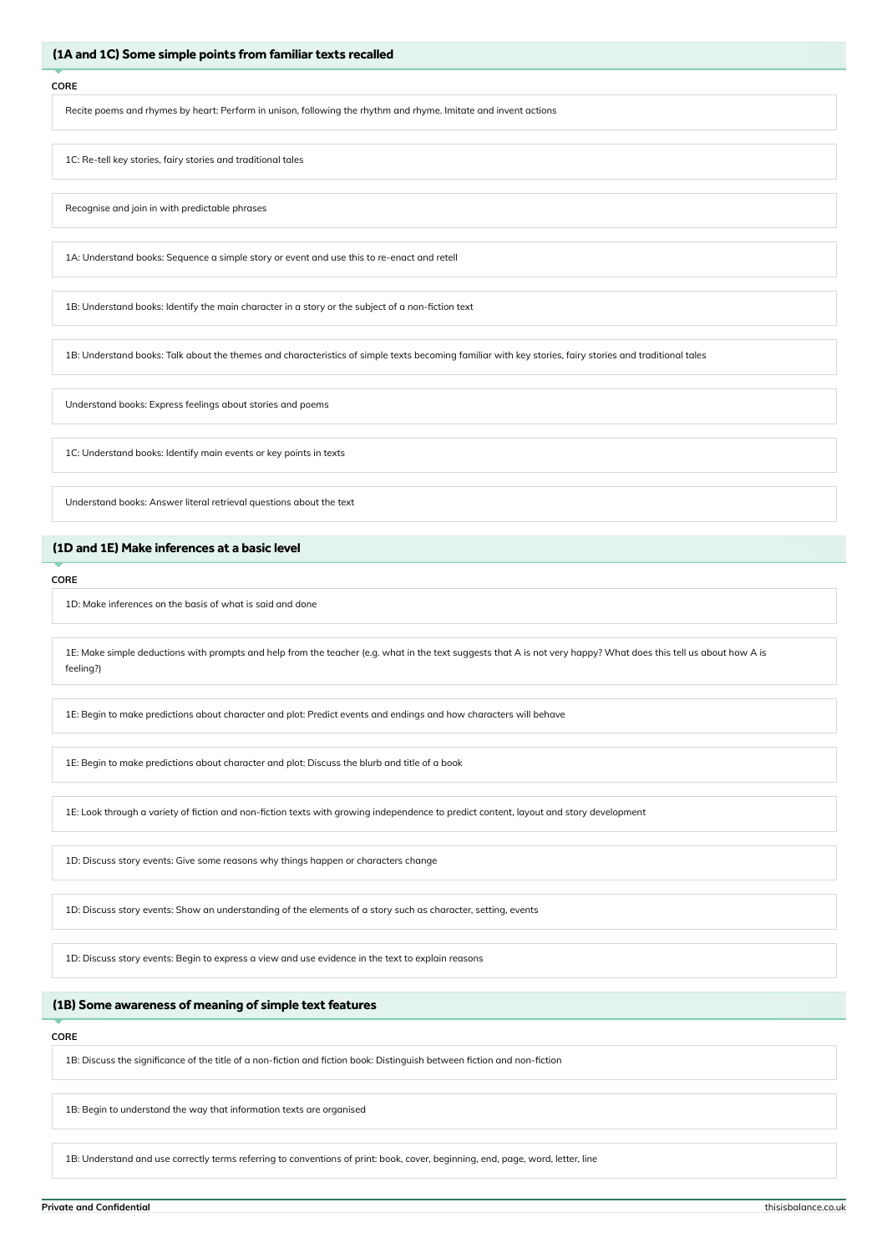# (1A and 1C) Some simple points from familiar texts recalled

### **CORE**

Recite poems and rhymes by heart: Perform in unison, following the rhythm and rhyme. Imitate and invent actions

1C: Re-tell key stories, fairy stories and traditional tales

Recognise and join in with predictable phrases

1A: Understand books: Sequence a simple story or event and use this to re-enact and retell

1B: Understand books: Identify the main character in a story or the subject of a non-fiction text

1B: Understand books: Talk about the themes and characteristics of simple texts becoming familiar with key stories, fairy stories and traditional tales

Understand books: Express feelings about stories and poems

1C: Understand books: Identify main events or key points in texts

Understand books: Answer literal retrieval questions about the text

# (1D and 1E) Make inferences at a basic level

**CORE**

1D: Make inferences on the basis of what is said and done

1E: Make simple deductions with prompts and help from the teacher (e.g. what in the text suggests that A is not very happy? What does this tell us about how A is feeling?)

1E: Begin to make predictions about character and plot: Predict events and endings and how characters will behave

1E: Begin to make predictions about character and plot: Discuss the blurb and title of a book

1E: Look through a variety of fiction and non-fiction texts with growing independence to predict content, layout and story development

1D: Discuss story events: Give some reasons why things happen or characters change

1D: Discuss story events: Show an understanding of the elements of a story such as character, setting, events

1D: Discuss story events: Begin to express a view and use evidence in the text to explain reasons

# (1B) Some awareness of meaning of simple text features

### **CORE**

1B: Discuss the significance of the title of a non-fiction and fiction book: Distinguish between fiction and non-fiction

1B: Begin to understand the way that information texts are organised

1B: Understand and use correctly terms referring to conventions of print: book, cover, beginning, end, page, word, letter, line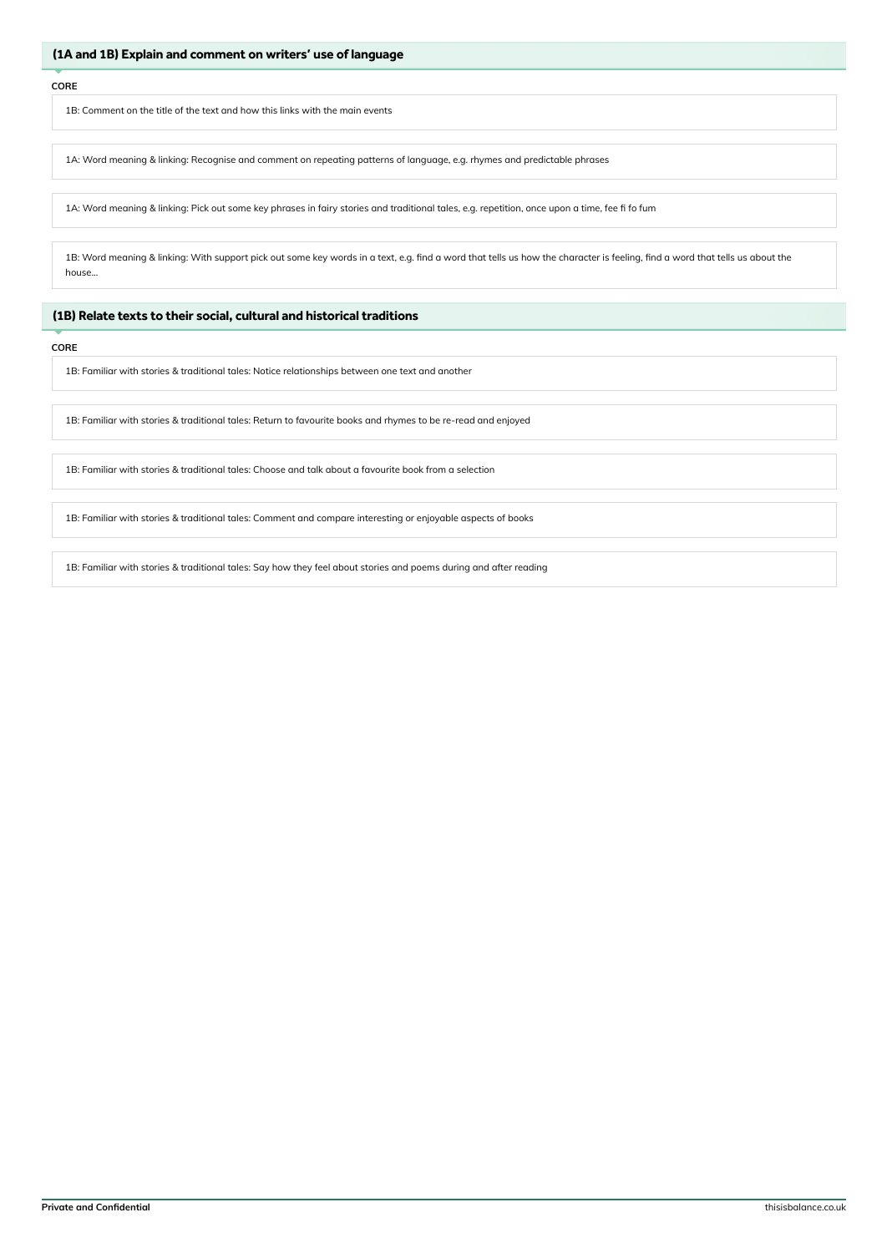1B: Comment on the title of the text and how this links with the main events

1A: Word meaning & linking: Recognise and comment on repeating patterns of language, e.g. rhymes and predictable phrases

1A: Word meaning & linking: Pick out some key phrases in fairy stories and traditional tales, e.g. repetition, once upon a time, fee fi fo fum

1B: Word meaning & linking: With support pick out some key words in a text, e.g. find a word that tells us how the character is feeling, find a word that tells us about the house...

# (1B) Relate texts to their social, cultural and historical traditions

### **CORE**

1B: Familiar with stories & traditional tales: Notice relationships between one text and another

1B: Familiar with stories & traditional tales: Return to favourite books and rhymes to be re-read and enjoyed

1B: Familiar with stories & traditional tales: Choose and talk about a favourite book from a selection

1B: Familiar with stories & traditional tales: Comment and compare interesting or enjoyable aspects of books

1B: Familiar with stories & traditional tales: Say how they feel about stories and poems during and after reading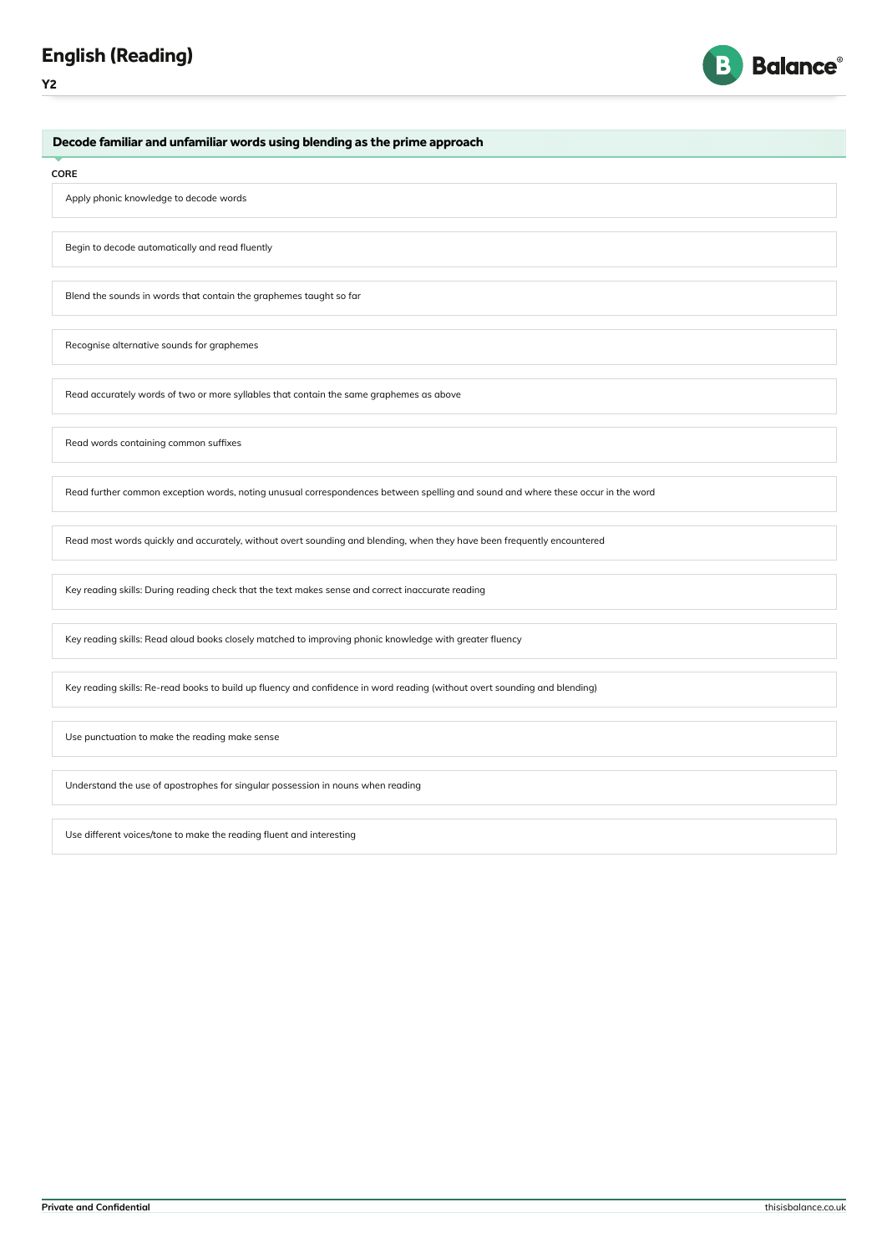# English (Reading)





Decode familiar and unfamiliar words using blending as the prime approach

#### **CORE**

Apply phonic knowledge to decode words

Begin to decode automatically and read fluently

Blend the sounds in words that contain the graphemes taught so far

Recognise alternative sounds for graphemes

Read accurately words of two or more syllables that contain the same graphemes as above

Read words containing common suffixes

Read further common exception words, noting unusual correspondences between spelling and sound and where these occur in the word

Read most words quickly and accurately, without overt sounding and blending, when they have been frequently encountered

Key reading skills: During reading check that the text makes sense and correct inaccurate reading

Key reading skills: Read aloud books closely matched to improving phonic knowledge with greater fluency

Key reading skills: Re-read books to build up fluency and confidence in word reading (without overt sounding and blending)

Use punctuation to make the reading make sense

Understand the use of apostrophes for singular possession in nouns when reading

Use different voices/tone to make the reading fluent and interesting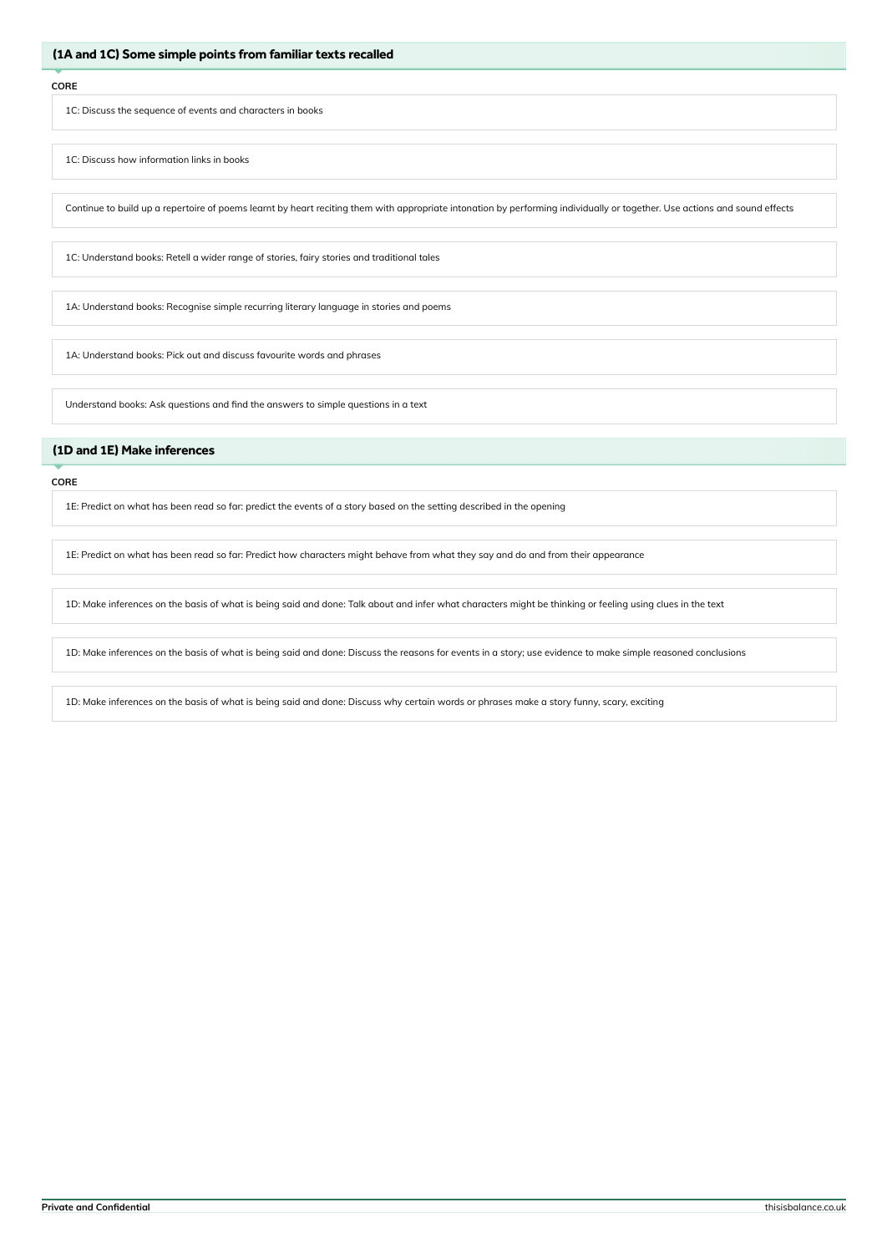1C: Discuss the sequence of events and characters in books

1C: Discuss how information links in books

Continue to build up a repertoire of poems learnt by heart reciting them with appropriate intonation by performing individually or together. Use actions and sound effects

1C: Understand books: Retell a wider range of stories, fairy stories and traditional tales

1A: Understand books: Recognise simple recurring literary language in stories and poems

1A: Understand books: Pick out and discuss favourite words and phrases

Understand books: Ask questions and find the answers to simple questions in a text

# (1D and 1E) Make inferences

#### **CORE**

1E: Predict on what has been read so far: predict the events of a story based on the setting described in the opening

1E: Predict on what has been read so far: Predict how characters might behave from what they say and do and from their appearance

1D: Make inferences on the basis of what is being said and done: Talk about and infer what characters might be thinking or feeling using clues in the text

1D: Make inferences on the basis of what is being said and done: Discuss the reasons for events in a story; use evidence to make simple reasoned conclusions

1D: Make inferences on the basis of what is being said and done: Discuss why certain words or phrases make a story funny, scary, exciting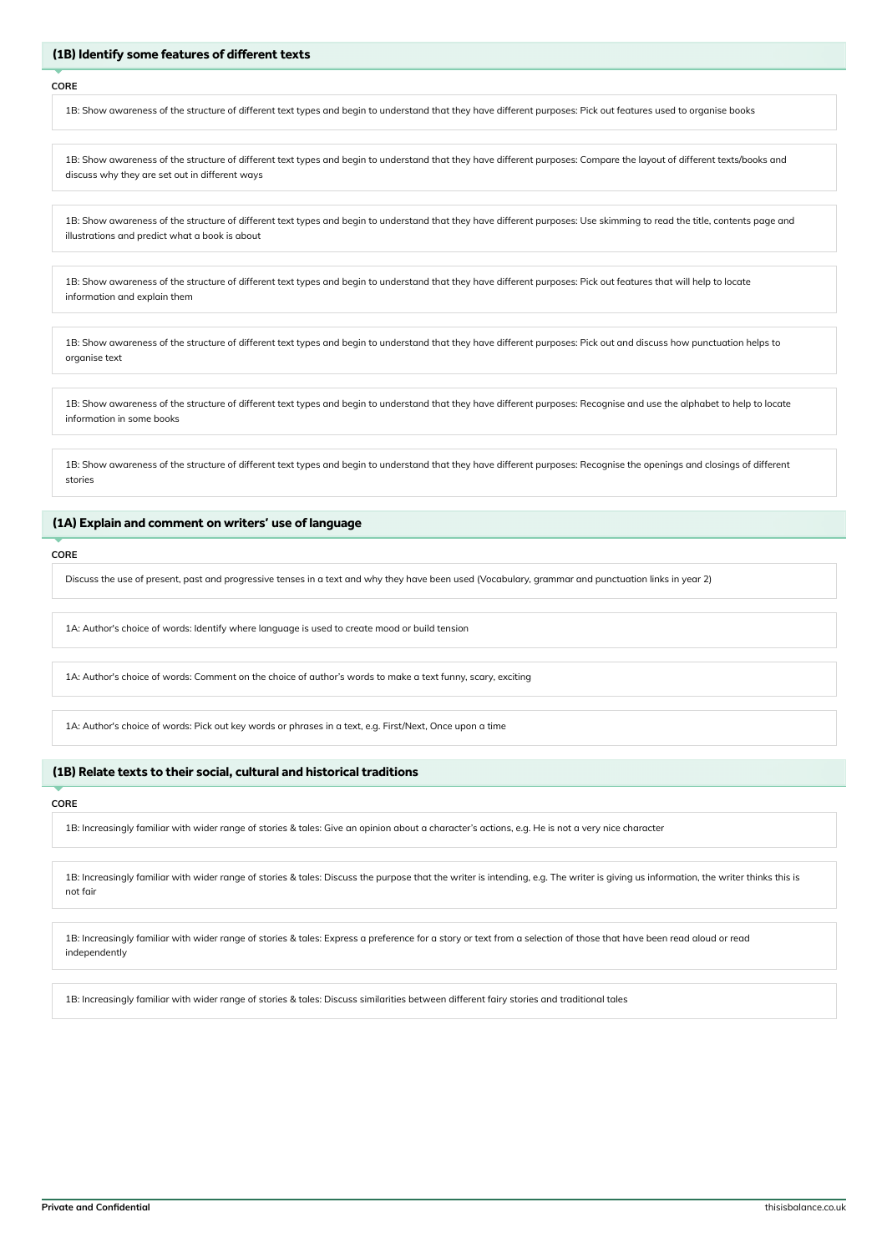### (1B) Identify some features of different texts

#### **CORE**

1B: Show awareness of the structure of different text types and begin to understand that they have different purposes: Pick out features used to organise books

1B: Show awareness of the structure of different text types and begin to understand that they have different purposes: Compare the layout of different texts/books and discuss why they are set out in different ways

1B: Show awareness of the structure of different text types and begin to understand that they have different purposes: Use skimming to read the title, contents page and illustrations and predict what a book is about

1B: Show awareness of the structure of different text types and begin to understand that they have different purposes: Pick out features that will help to locate information and explain them

1B: Show awareness of the structure of different text types and begin to understand that they have different purposes: Pick out and discuss how punctuation helps to organise text

1B: Show awareness of the structure of different text types and begin to understand that they have different purposes: Recognise and use the alphabet to help to locate information in some books

1B: Show awareness of the structure of different text types and begin to understand that they have different purposes: Recognise the openings and closings of different stories

# (1A) Explain and comment on writers' use of language

### **CORE**

Discuss the use of present, past and progressive tenses in a text and why they have been used (Vocabulary, grammar and punctuation links in year 2)

1A: Author's choice of words: Identify where language is used to create mood or build tension

1A: Author's choice of words: Comment on the choice of author's words to make a text funny, scary, exciting

1A: Author's choice of words: Pick out key words or phrases in a text, e.g. First/Next, Once upon a time

### (1B) Relate texts to their social, cultural and historical traditions

#### **CORE**

1B: Increasingly familiar with wider range of stories & tales: Give an opinion about a character's actions, e.g. He is not a very nice character

1B: Increasingly familiar with wider range of stories & tales: Discuss the purpose that the writer is intending, e.g. The writer is giving us information, the writer thinks this is not fair

1B: Increasingly familiar with wider range of stories & tales: Express a preference for a story or text from a selection of those that have been read aloud or read independently

1B: Increasingly familiar with wider range of stories & tales: Discuss similarities between different fairy stories and traditional tales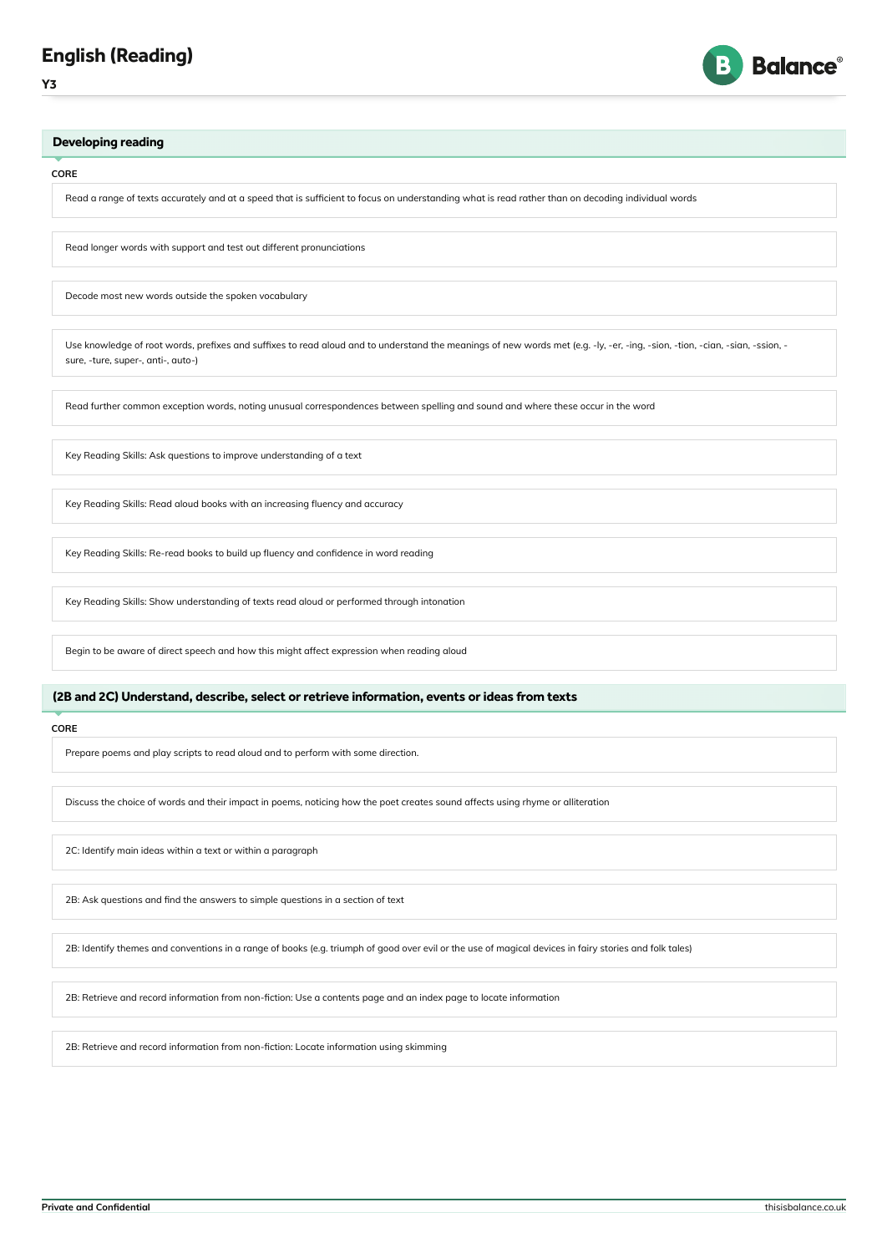



**CORE**

Read a range of texts accurately and at a speed that is sufficient to focus on understanding what is read rather than on decoding individual words

Read longer words with support and test out different pronunciations

Decode most new words outside the spoken vocabulary

Use knowledge of root words, prefixes and suffixes to read aloud and to understand the meanings of new words met (e.g. -ly, -er, -ing, -sion, -tion, -cian, -sian, -ssion, sure, -ture, super-, anti-, auto-)

Read further common exception words, noting unusual correspondences between spelling and sound and where these occur in the word

Key Reading Skills: Ask questions to improve understanding of a text

Key Reading Skills: Read aloud books with an increasing fluency and accuracy

Key Reading Skills: Re-read books to build up fluency and confidence in word reading

Key Reading Skills: Show understanding of texts read aloud or performed through intonation

Begin to be aware of direct speech and how this might affect expression when reading aloud

# (2B and 2C) Understand, describe, select or retrieve information, events or ideas from texts

### **CORE**

Prepare poems and play scripts to read aloud and to perform with some direction.

Discuss the choice of words and their impact in poems, noticing how the poet creates sound affects using rhyme or alliteration

2C: Identify main ideas within a text or within a paragraph

2B: Ask questions and find the answers to simple questions in a section of text

2B: Identify themes and conventions in a range of books (e.g. triumph of good over evil or the use of magical devices in fairy stories and folk tales)

2B: Retrieve and record information from non-fiction: Use a contents page and an index page to locate information

2B: Retrieve and record information from non-fiction: Locate information using skimming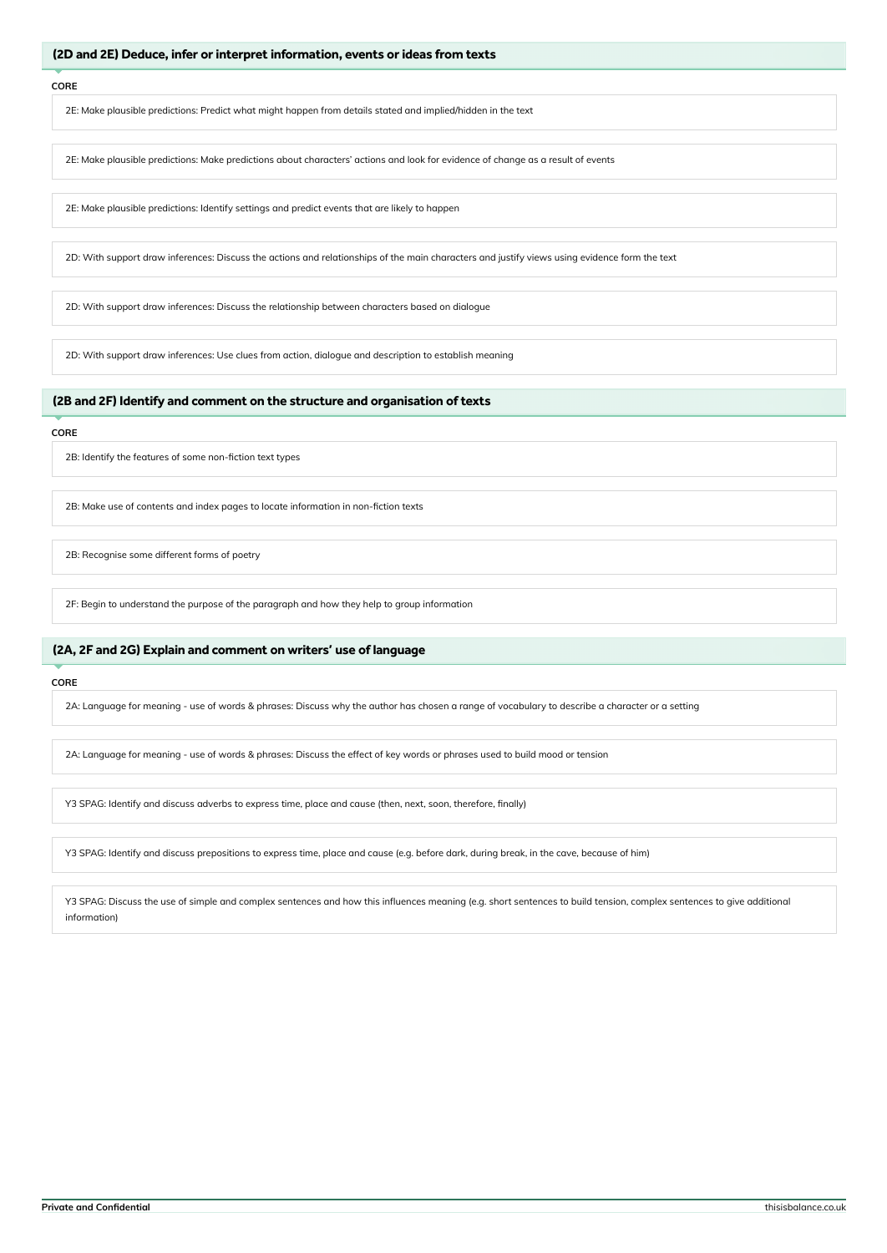### (2D and 2E) Deduce, infer or interpret information, events or ideas from texts

#### **CORE**

2E: Make plausible predictions: Predict what might happen from details stated and implied/hidden in the text

2E: Make plausible predictions: Make predictions about characters' actions and look for evidence of change as a result of events

2E: Make plausible predictions: Identify settings and predict events that are likely to happen

2D: With support draw inferences: Discuss the actions and relationships of the main characters and justify views using evidence form the text

2D: With support draw inferences: Discuss the relationship between characters based on dialogue

2D: With support draw inferences: Use clues from action, dialogue and description to establish meaning

# (2B and 2F) Identify and comment on the structure and organisation of texts

#### **CORE**

2B: Identify the features of some non-fiction text types

2B: Make use of contents and index pages to locate information in non-fiction texts

2B: Recognise some different forms of poetry

2F: Begin to understand the purpose of the paragraph and how they help to group information

### (2A, 2F and 2G) Explain and comment on writers' use of language

# **CORE**

2A: Language for meaning - use of words & phrases: Discuss why the author has chosen a range of vocabulary to describe a character or a setting

2A: Language for meaning - use of words & phrases: Discuss the effect of key words or phrases used to build mood or tension

Y3 SPAG: Identify and discuss adverbs to express time, place and cause (then, next, soon, therefore, finally)

Y3 SPAG: Identify and discuss prepositions to express time, place and cause (e.g. before dark, during break, in the cave, because of him)

Y3 SPAG: Discuss the use of simple and complex sentences and how this influences meaning (e.g. short sentences to build tension, complex sentences to give additional information)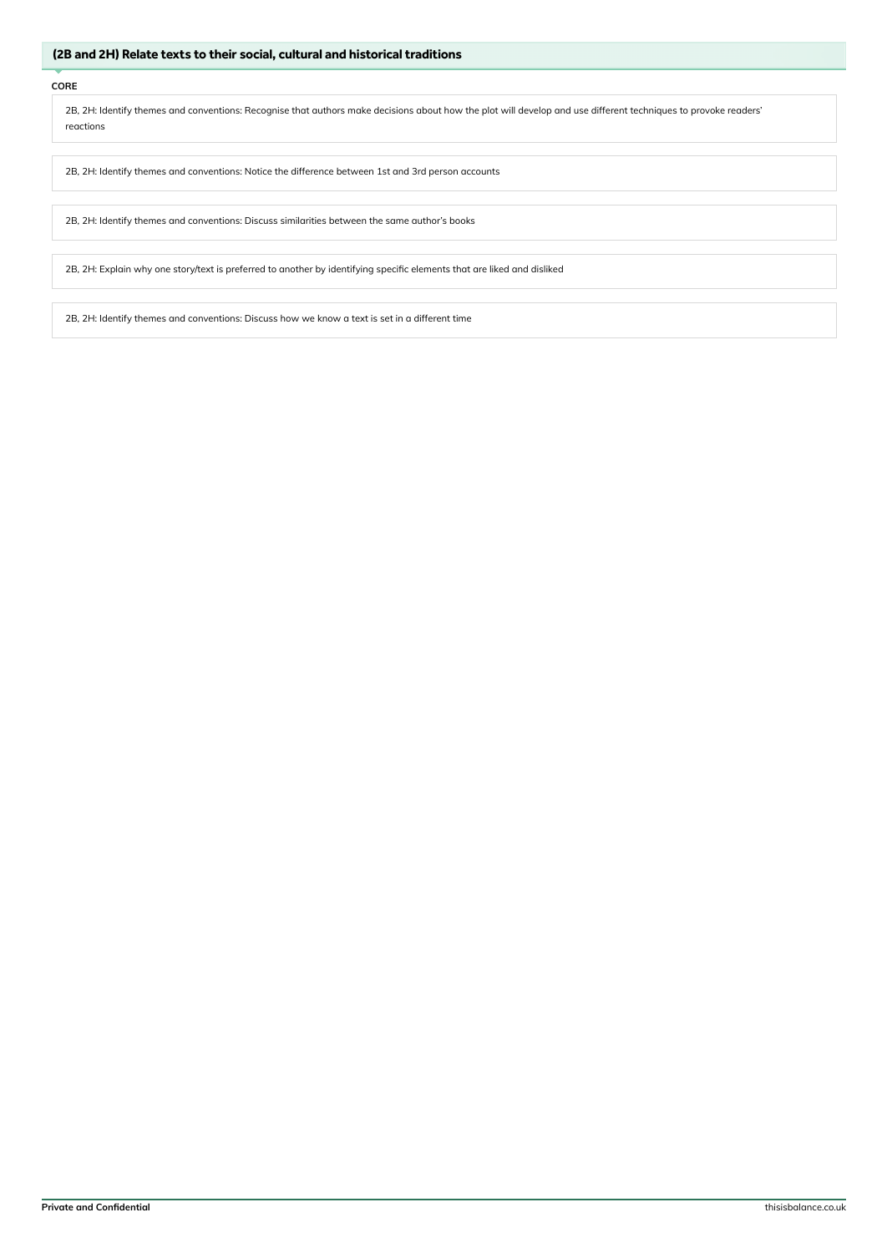### (2B and 2H) Relate texts to their social, cultural and historical traditions

# **CORE**

2B, 2H: Identify themes and conventions: Recognise that authors make decisions about how the plot will develop and use different techniques to provoke readers' reactions

2B, 2H: Identify themes and conventions: Notice the difference between 1st and 3rd person accounts

2B, 2H: Identify themes and conventions: Discuss similarities between the same author's books

2B, 2H: Explain why one story/text is preferred to another by identifying specific elements that are liked and disliked

2B, 2H: Identify themes and conventions: Discuss how we know a text is set in a different time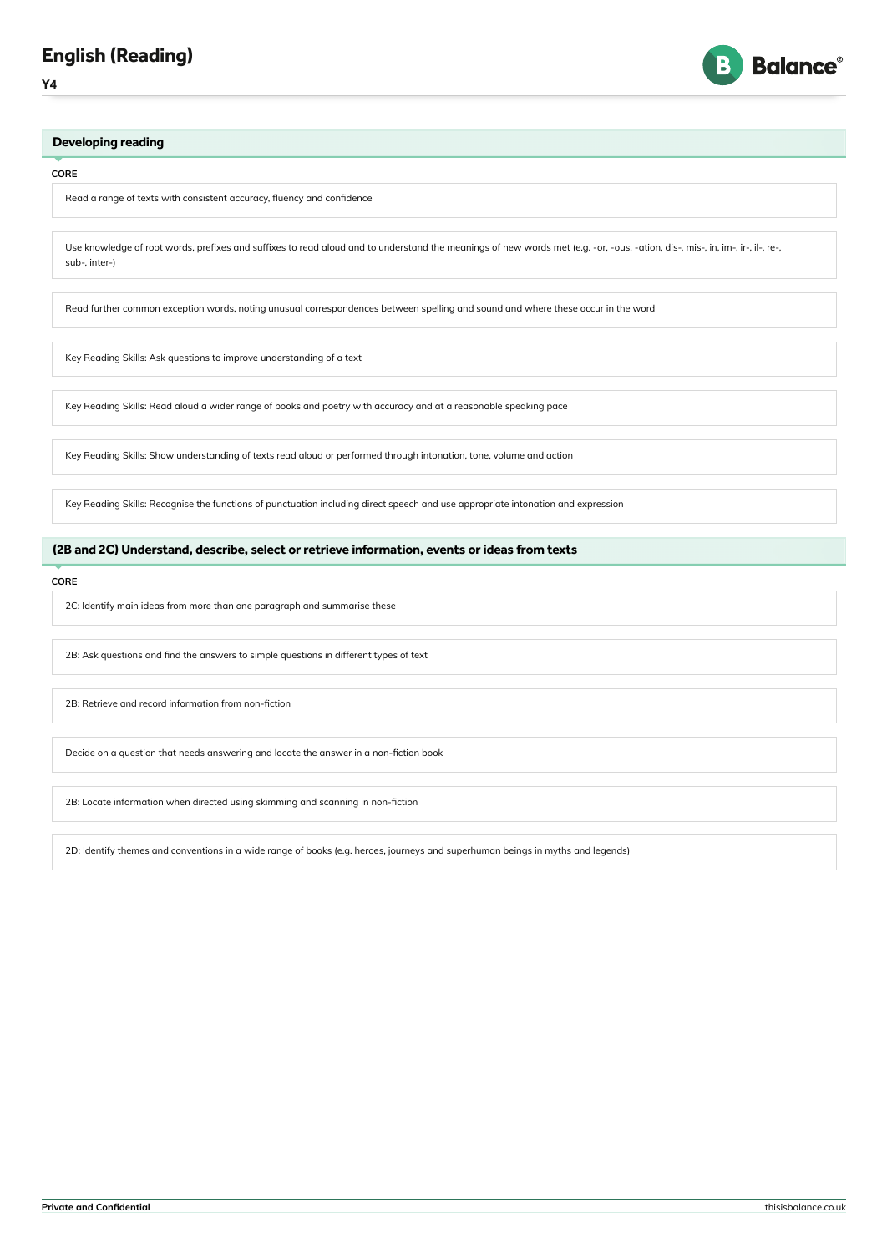



#### **CORE**

Read a range of texts with consistent accuracy, fluency and confidence

Use knowledge of root words, prefixes and suffixes to read aloud and to understand the meanings of new words met (e.g. -or, -ous, -ation, dis-, mis-, in, im-, ir-, il-, re-, sub-, inter-)

Read further common exception words, noting unusual correspondences between spelling and sound and where these occur in the word

Key Reading Skills: Ask questions to improve understanding of a text

Key Reading Skills: Read aloud a wider range of books and poetry with accuracy and at a reasonable speaking pace

Key Reading Skills: Show understanding of texts read aloud or performed through intonation, tone, volume and action

Key Reading Skills: Recognise the functions of punctuation including direct speech and use appropriate intonation and expression

# (2B and 2C) Understand, describe, select or retrieve information, events or ideas from texts

#### **CORE**

2C: Identify main ideas from more than one paragraph and summarise these

2B: Ask questions and find the answers to simple questions in different types of text

2B: Retrieve and record information from non-fiction

Decide on a question that needs answering and locate the answer in a non-fiction book

2B: Locate information when directed using skimming and scanning in non-fiction

2D: Identify themes and conventions in a wide range of books (e.g. heroes, journeys and superhuman beings in myths and legends)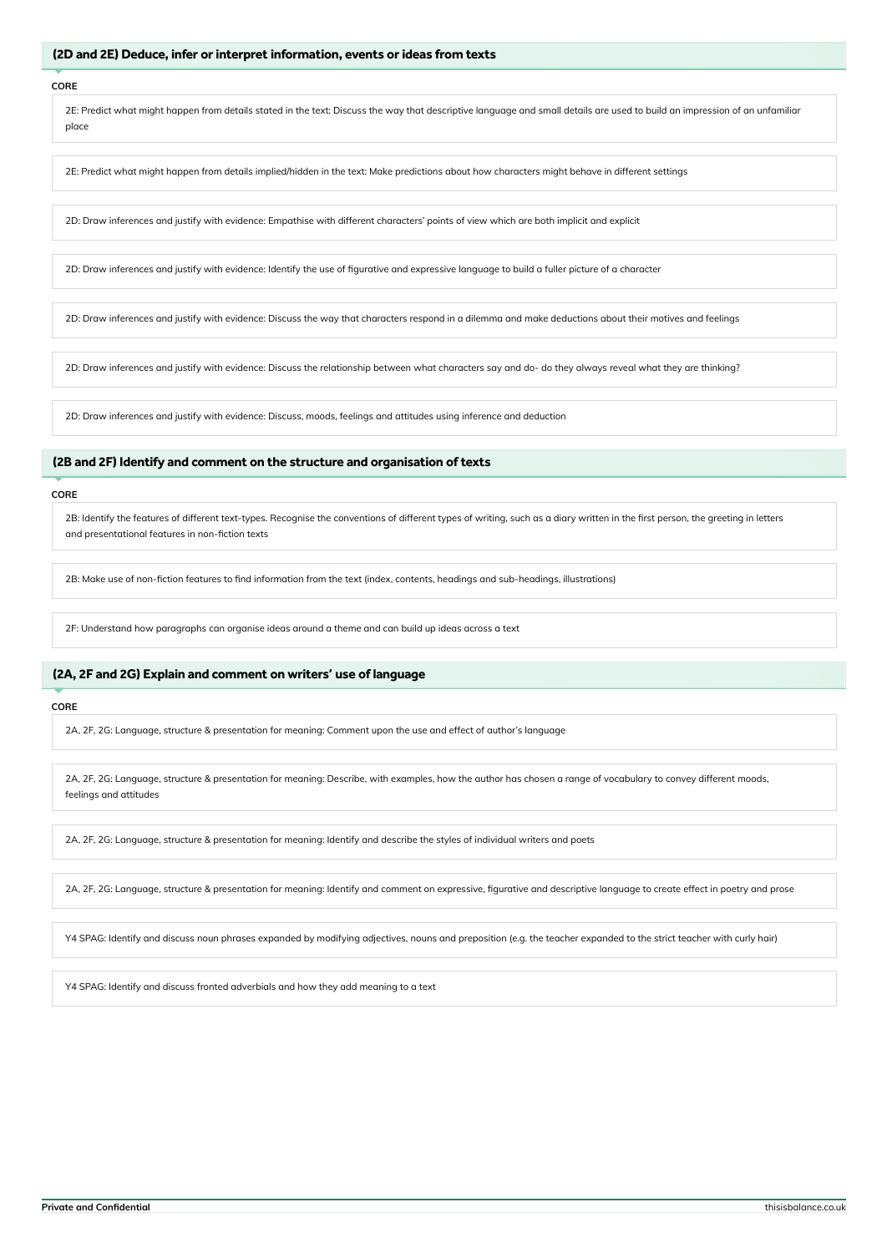### (2D and 2E) Deduce, infer or interpret information, events or ideas from texts

#### **CORE**

2E: Predict what might happen from details stated in the text: Discuss the way that descriptive language and small details are used to build an impression of an unfamiliar place

2E: Predict what might happen from details implied/hidden in the text: Make predictions about how characters might behave in different settings

2D: Draw inferences and justify with evidence: Empathise with different characters' points of view which are both implicit and explicit

2D: Draw inferences and justify with evidence: Identify the use of figurative and expressive language to build a fuller picture of a character

2D: Draw inferences and justify with evidence: Discuss the way that characters respond in a dilemma and make deductions about their motives and feelings

2D: Draw inferences and justify with evidence: Discuss the relationship between what characters say and do- do they always reveal what they are thinking?

2D: Draw inferences and justify with evidence: Discuss, moods, feelings and attitudes using inference and deduction

# (2B and 2F) Identify and comment on the structure and organisation of texts

#### **CORE**

2B: Identify the features of different text-types. Recognise the conventions of different types of writing, such as a diary written in the first person, the greeting in letters and presentational features in non-fiction texts

2B: Make use of non-fiction features to find information from the text (index, contents, headings and sub-headings, illustrations)

2F: Understand how paragraphs can organise ideas around a theme and can build up ideas across a text

# (2A, 2F and 2G) Explain and comment on writers' use of language

### **CORE**

2A, 2F, 2G: Language, structure & presentation for meaning: Comment upon the use and effect of author's language

2A, 2F, 2G: Language, structure & presentation for meaning: Describe, with examples, how the author has chosen a range of vocabulary to convey different moods, feelings and attitudes

2A, 2F, 2G: Language, structure & presentation for meaning: Identify and describe the styles of individual writers and poets

2A, 2F, 2G: Language, structure & presentation for meaning: Identify and comment on expressive, figurative and descriptive language to create effect in poetry and prose

Y4 SPAG: Identify and discuss noun phrases expanded by modifying adjectives, nouns and preposition (e.g. the teacher expanded to the strict teacher with curly hair)

Y4 SPAG: Identify and discuss fronted adverbials and how they add meaning to a text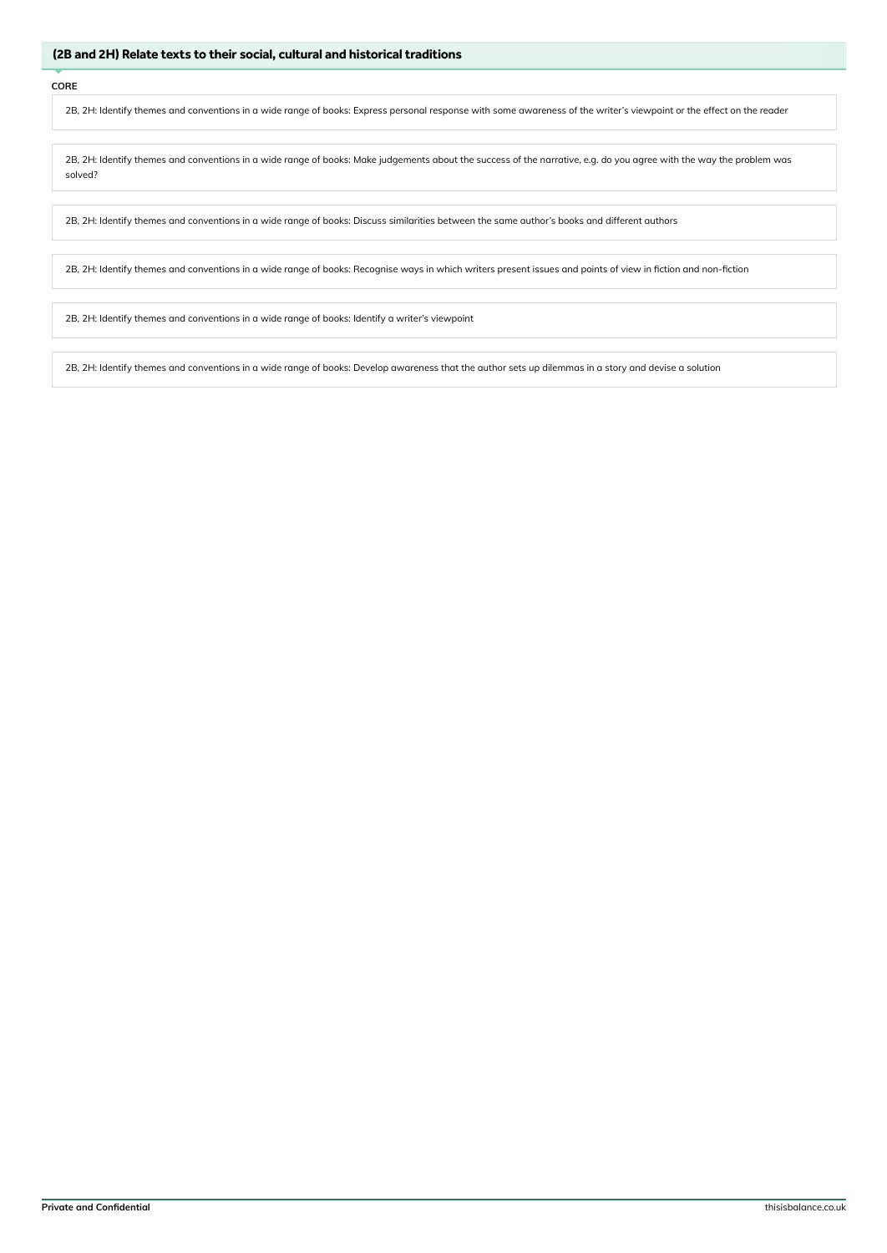2B, 2H: Identify themes and conventions in a wide range of books: Express personal response with some awareness of the writer's viewpoint or the effect on the reader

2B, 2H: Identify themes and conventions in a wide range of books: Make judgements about the success of the narrative, e.g. do you agree with the way the problem was solved?

2B, 2H: Identify themes and conventions in a wide range of books: Discuss similarities between the same author's books and different authors

2B, 2H: Identify themes and conventions in a wide range of books: Recognise ways in which writers present issues and points of view in fiction and non-fiction

2B, 2H: Identify themes and conventions in a wide range of books: Identify a writer's viewpoint

2B, 2H: Identify themes and conventions in a wide range of books: Develop awareness that the author sets up dilemmas in a story and devise a solution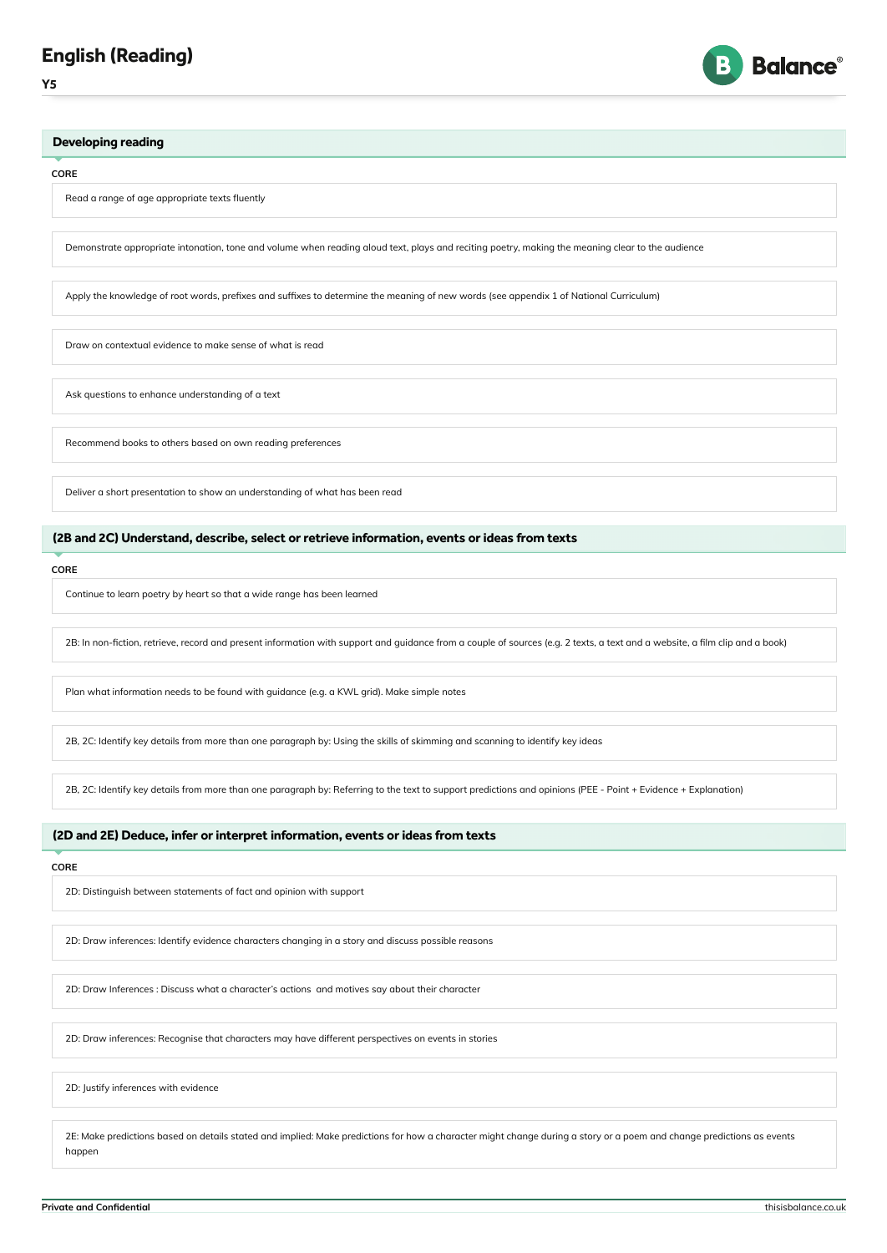



#### **CORE**

Read a range of age appropriate texts fluently

Demonstrate appropriate intonation, tone and volume when reading aloud text, plays and reciting poetry, making the meaning clear to the audience

Apply the knowledge of root words, prefixes and suffixes to determine the meaning of new words (see appendix 1 of National Curriculum)

Draw on contextual evidence to make sense of what is read

Ask questions to enhance understanding of a text

Recommend books to others based on own reading preferences

Deliver a short presentation to show an understanding of what has been read

# (2B and 2C) Understand, describe, select or retrieve information, events or ideas from texts

**CORE**

Continue to learn poetry by heart so that a wide range has been learned

2B: In non-fiction, retrieve, record and present information with support and guidance from a couple of sources (e.g. 2 texts, a text and a website, a film clip and a book)

Plan what information needs to be found with guidance (e.g. a KWL grid). Make simple notes

2B, 2C: Identify key details from more than one paragraph by: Using the skills of skimming and scanning to identify key ideas

2B, 2C: Identify key details from more than one paragraph by: Referring to the text to support predictions and opinions (PEE - Point + Evidence + Explanation)

# (2D and 2E) Deduce, infer or interpret information, events or ideas from texts

### **CORE**

2D: Distinguish between statements of fact and opinion with support

2D: Draw inferences: Identify evidence characters changing in a story and discuss possible reasons

2D: Draw Inferences : Discuss what a character's actions and motives say about their character

2D: Draw inferences: Recognise that characters may have different perspectives on events in stories

2D: Justify inferences with evidence

2E: Make predictions based on details stated and implied: Make predictions for how a character might change during a story or a poem and change predictions as events happen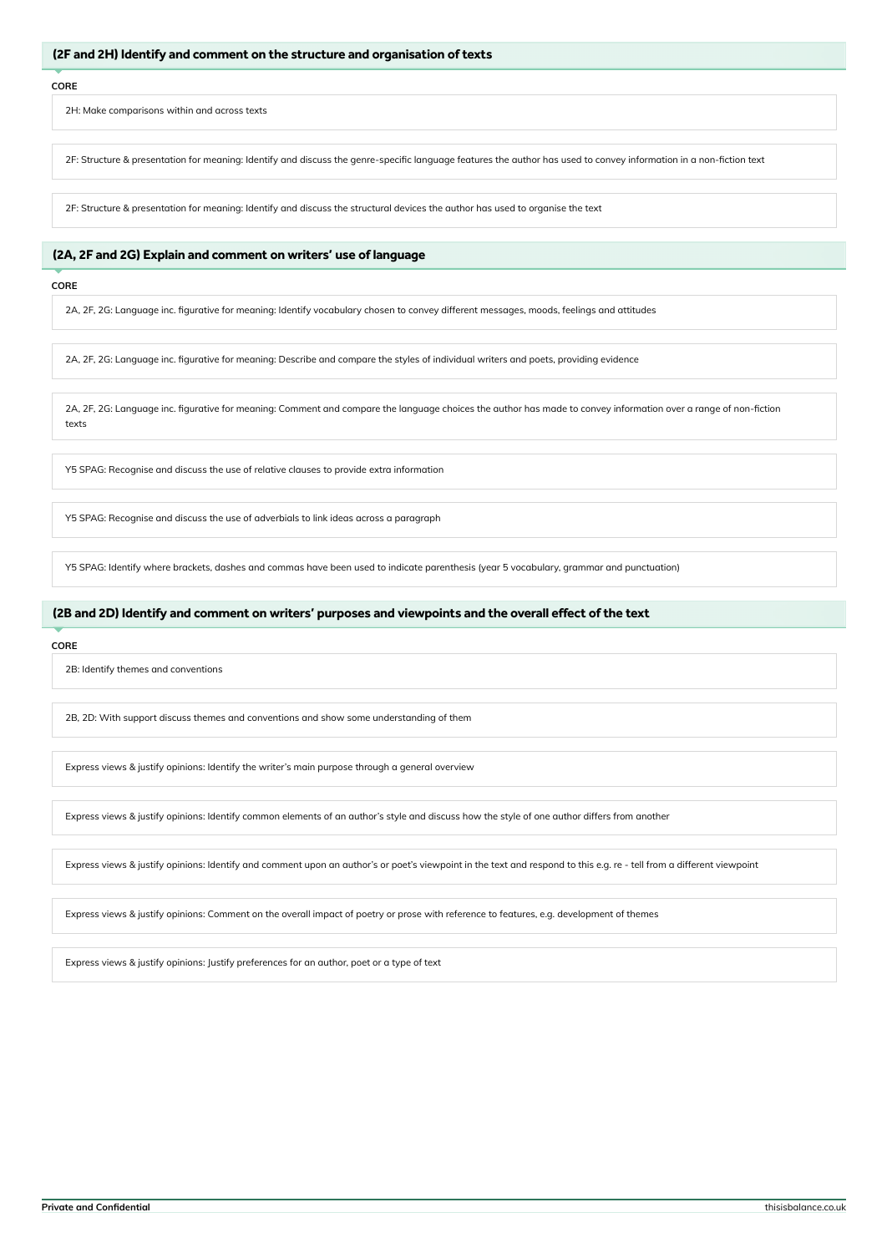### (2F and 2H) Identify and comment on the structure and organisation of texts

#### **CORE**

2H: Make comparisons within and across texts

2F: Structure & presentation for meaning: Identify and discuss the genre-specific language features the author has used to convey information in a non-fiction text

2F: Structure & presentation for meaning: Identify and discuss the structural devices the author has used to organise the text

# (2A, 2F and 2G) Explain and comment on writers' use of language

#### **CORE**

2A, 2F, 2G: Language inc. figurative for meaning: Identify vocabulary chosen to convey different messages, moods, feelings and attitudes

2A, 2F, 2G: Language inc. figurative for meaning: Describe and compare the styles of individual writers and poets, providing evidence

2A, 2F, 2G: Language inc. figurative for meaning: Comment and compare the language choices the author has made to convey information over a range of non-fiction texts

Y5 SPAG: Recognise and discuss the use of relative clauses to provide extra information

Y5 SPAG: Recognise and discuss the use of adverbials to link ideas across a paragraph

Y5 SPAG: Identify where brackets, dashes and commas have been used to indicate parenthesis (year 5 vocabulary, grammar and punctuation)

### (2B and 2D) Identify and comment on writers' purposes and viewpoints and the overall effect of the text

#### **CORE**

2B: Identify themes and conventions

2B, 2D: With support discuss themes and conventions and show some understanding of them

Express views & justify opinions: Identify the writer's main purpose through a general overview

Express views & justify opinions: Identify common elements of an author's style and discuss how the style of one author differs from another

Express views & justify opinions: Identify and comment upon an author's or poet's viewpoint in the text and respond to this e.g. re - tell from a different viewpoint

Express views & justify opinions: Comment on the overall impact of poetry or prose with reference to features, e.g. development of themes

Express views & justify opinions: Justify preferences for an author, poet or a type of text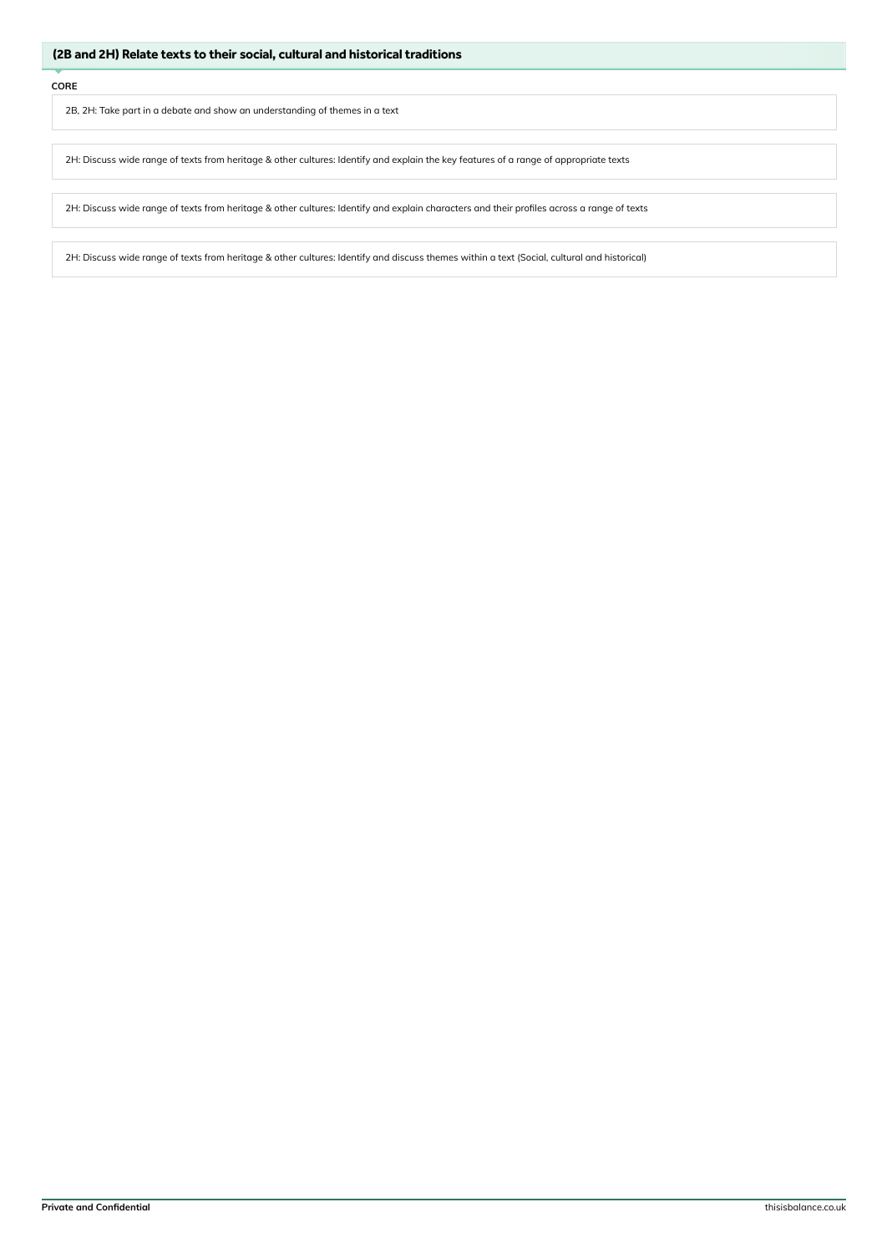2B, 2H: Take part in a debate and show an understanding of themes in a text

2H: Discuss wide range of texts from heritage & other cultures: Identify and explain the key features of a range of appropriate texts

2H: Discuss wide range of texts from heritage & other cultures: Identify and explain characters and their profiles across a range of texts

2H: Discuss wide range of texts from heritage & other cultures: Identify and discuss themes within a text (Social, cultural and historical)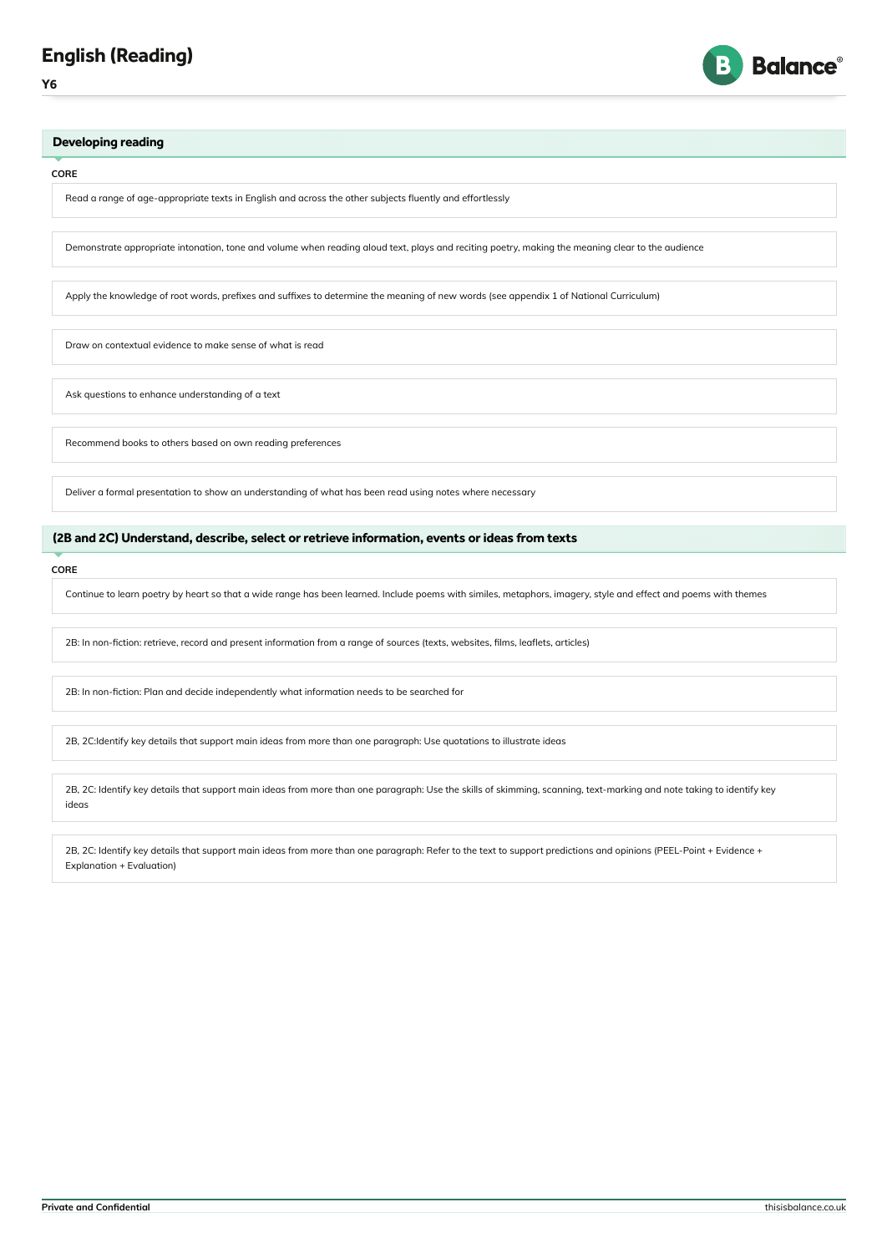



#### **CORE**

Read a range of age-appropriate texts in English and across the other subjects fluently and effortlessly

Demonstrate appropriate intonation, tone and volume when reading aloud text, plays and reciting poetry, making the meaning clear to the audience

Apply the knowledge of root words, prefixes and suffixes to determine the meaning of new words (see appendix 1 of National Curriculum)

Draw on contextual evidence to make sense of what is read

Ask questions to enhance understanding of a text

Recommend books to others based on own reading preferences

Deliver a formal presentation to show an understanding of what has been read using notes where necessary

# (2B and 2C) Understand, describe, select or retrieve information, events or ideas from texts

**CORE**

Continue to learn poetry by heart so that a wide range has been learned. Include poems with similes, metaphors, imagery, style and effect and poems with themes

2B: In non-fiction: retrieve, record and present information from a range of sources (texts, websites, films, leaflets, articles)

2B: In non-fiction: Plan and decide independently what information needs to be searched for

2B, 2C:Identify key details that support main ideas from more than one paragraph: Use quotations to illustrate ideas

2B, 2C: Identify key details that support main ideas from more than one paragraph: Use the skills of skimming, scanning, text-marking and note taking to identify key ideas

2B, 2C: Identify key details that support main ideas from more than one paragraph: Refer to the text to support predictions and opinions (PEEL-Point + Evidence + Explanation + Evaluation)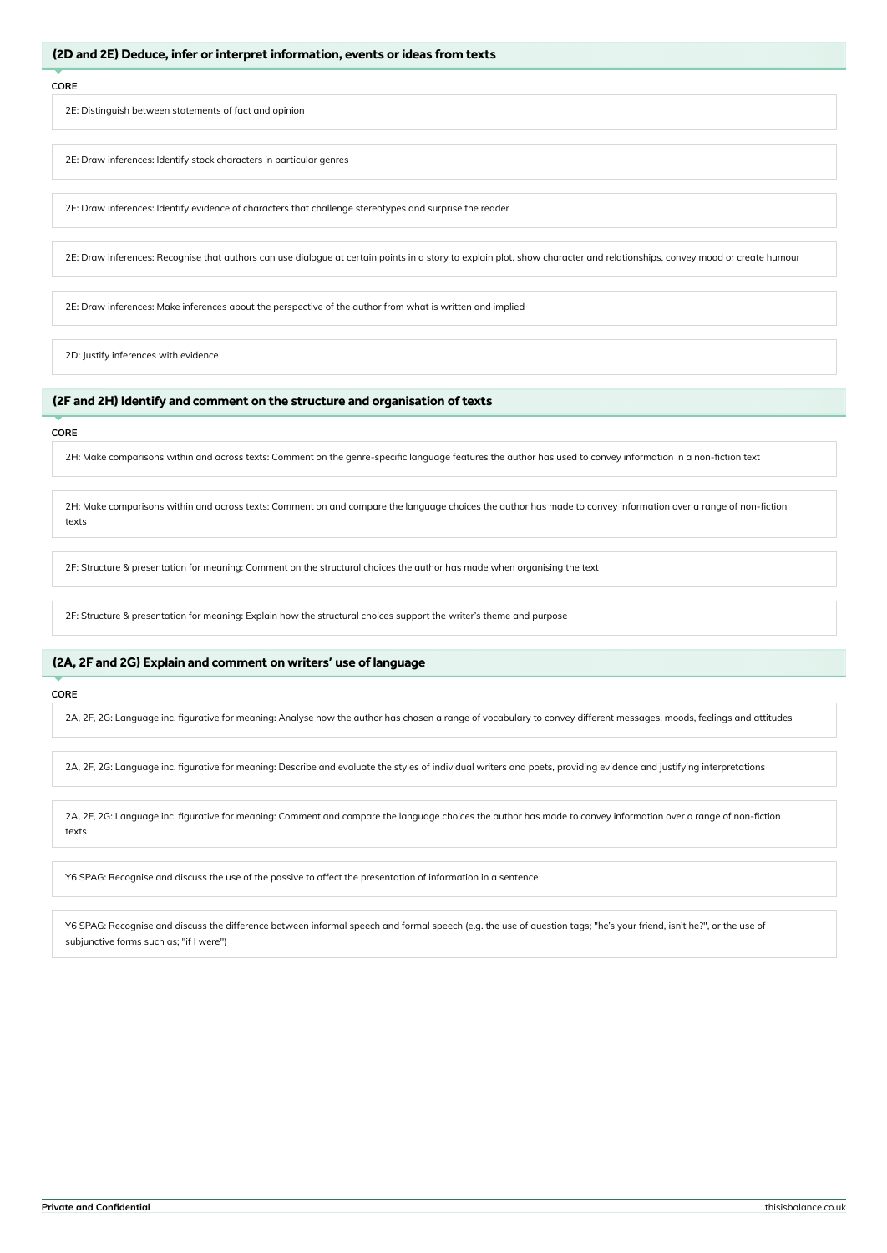2E: Distinguish between statements of fact and opinion

2E: Draw inferences: Identify stock characters in particular genres

2E: Draw inferences: Identify evidence of characters that challenge stereotypes and surprise the reader

2E: Draw inferences: Recognise that authors can use dialogue at certain points in a story to explain plot, show character and relationships, convey mood or create humour

2E: Draw inferences: Make inferences about the perspective of the author from what is written and implied

2D: Justify inferences with evidence

# (2F and 2H) Identify and comment on the structure and organisation of texts

#### **CORE**

2H: Make comparisons within and across texts: Comment on the genre-specific language features the author has used to convey information in a non-fiction text

2H: Make comparisons within and across texts: Comment on and compare the language choices the author has made to convey information over a range of non-fiction texts

2F: Structure & presentation for meaning: Comment on the structural choices the author has made when organising the text

2F: Structure & presentation for meaning: Explain how the structural choices support the writer's theme and purpose

# (2A, 2F and 2G) Explain and comment on writers' use of language

#### **CORE**

2A, 2F, 2G: Language inc. figurative for meaning: Analyse how the author has chosen a range of vocabulary to convey different messages, moods, feelings and attitudes

2A, 2F, 2G: Language inc. figurative for meaning: Describe and evaluate the styles of individual writers and poets, providing evidence and justifying interpretations

2A, 2F, 2G: Language inc. figurative for meaning: Comment and compare the language choices the author has made to convey information over a range of non-fiction texts

Y6 SPAG: Recognise and discuss the use of the passive to affect the presentation of information in a sentence

Y6 SPAG: Recognise and discuss the difference between informal speech and formal speech (e.g. the use of question tags; "he's your friend, isn't he?", or the use of subjunctive forms such as; "if I were")